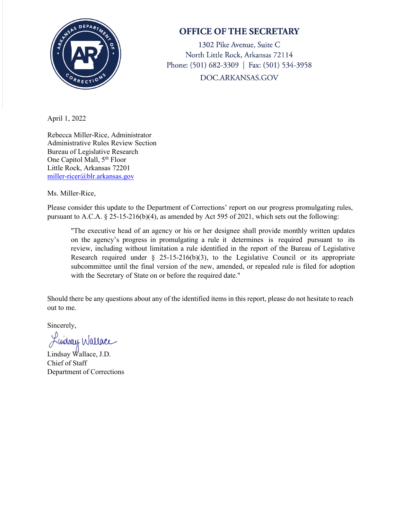

## **OFFICE OF THE SECRETARY**

1302 Pike Avenue, Suite C North Little Rock, Arkansas 72114 Phone: (501) 682-3309 | Fax: (501) 534-3958 DOC.ARKANSAS.GOV

April 1, 2022

Rebecca Miller-Rice, Administrator Administrative Rules Review Section Bureau of Legislative Research One Capitol Mall, 5<sup>th</sup> Floor Little Rock, Arkansas 72201 [miller-ricer@blr.arkansas.gov](mailto:miller-ricer@blr.arkansas.gov) 

Ms. Miller-Rice,

Please consider this update to the Department of Corrections' report on our progress promulgating rules, pursuant to A.C.A. § 25-15-216(b)(4), as amended by Act 595 of 2021, which sets out the following:

"The executive head of an agency or his or her designee shall provide monthly written updates on the agency's progress in promulgating a rule it determines is required pursuant to its review, including without limitation a rule identified in the report of the Bureau of Legislative Research required under  $\S$  25-15-216(b)(3), to the Legislative Council or its appropriate subcommittee until the final version of the new, amended, or repealed rule is filed for adoption with the Secretary of State on or before the required date."

Should there be any questions about any of the identified items in this report, please do not hesitate to reach out to me.

Sincerely,

Luiday Wallace

Lindsay Wallace, J.D. Chief of Staff Department of Corrections